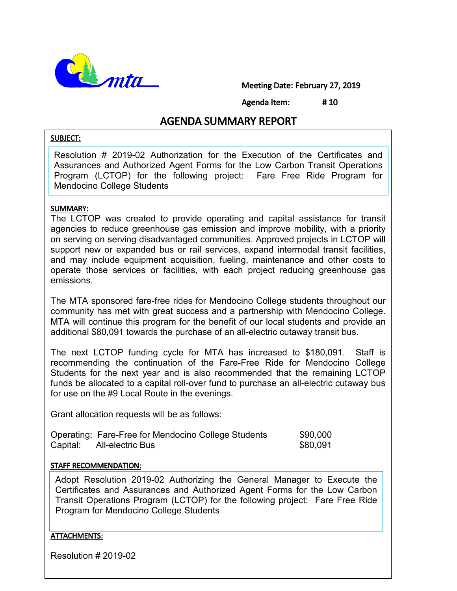

Meeting Date: February 27, 2019

Agenda Item: # 10

# AGENDA SUMMARY REPORT

#### SUBJECT:

Resolution # 2019-02 Authorization for the Execution of the Certificates and Assurances and Authorized Agent Forms for the Low Carbon Transit Operations Program (LCTOP) for the following project: Fare Free Ride Program for Mendocino College Students

#### SUMMARY:

Ī

The LCTOP was created to provide operating and capital assistance for transit agencies to reduce greenhouse gas emission and improve mobility, with a priority on serving on serving disadvantaged communities. Approved projects in LCTOP will support new or expanded bus or rail services, expand intermodal transit facilities, and may include equipment acquisition, fueling, maintenance and other costs to operate those services or facilities, with each project reducing greenhouse gas emissions.

The MTA sponsored fare-free rides for Mendocino College students throughout our community has met with great success and a partnership with Mendocino College. MTA will continue this program for the benefit of our local students and provide an additional \$80,091 towards the purchase of an all-electric cutaway transit bus.

The next LCTOP funding cycle for MTA has increased to \$180,091. Staff is recommending the continuation of the Fare-Free Ride for Mendocino College Students for the next year and is also recommended that the remaining LCTOP funds be allocated to a capital roll-over fund to purchase an all-electric cutaway bus for use on the #9 Local Route in the evenings.

Grant allocation requests will be as follows:

|          | Operating: Fare-Free for Mendocino College Students | \$90,000 |
|----------|-----------------------------------------------------|----------|
| Capital: | All-electric Bus                                    | \$80,091 |

#### STAFF RECOMMENDATION:

Adopt Resolution 2019-02 Authorizing the General Manager to Execute the Certificates and Assurances and Authorized Agent Forms for the Low Carbon Transit Operations Program (LCTOP) for the following project: Fare Free Ride Program for Mendocino College Students

#### ATTACHMENTS:

 $\overline{a}$ 

Resolution # 2019-02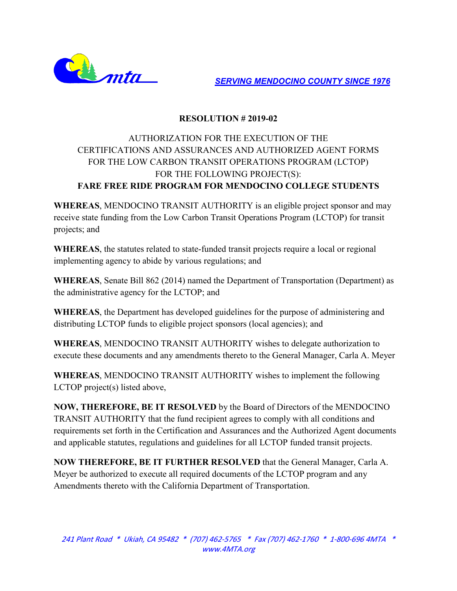

*SERVING MENDOCINO COUNTY SINCE 1976*

### **RESOLUTION # 2019-02**

## AUTHORIZATION FOR THE EXECUTION OF THE CERTIFICATIONS AND ASSURANCES AND AUTHORIZED AGENT FORMS FOR THE LOW CARBON TRANSIT OPERATIONS PROGRAM (LCTOP) FOR THE FOLLOWING PROJECT(S): **FARE FREE RIDE PROGRAM FOR MENDOCINO COLLEGE STUDENTS**

**WHEREAS**, MENDOCINO TRANSIT AUTHORITY is an eligible project sponsor and may receive state funding from the Low Carbon Transit Operations Program (LCTOP) for transit projects; and

**WHEREAS**, the statutes related to state-funded transit projects require a local or regional implementing agency to abide by various regulations; and

**WHEREAS**, Senate Bill 862 (2014) named the Department of Transportation (Department) as the administrative agency for the LCTOP; and

**WHEREAS**, the Department has developed guidelines for the purpose of administering and distributing LCTOP funds to eligible project sponsors (local agencies); and

**WHEREAS**, MENDOCINO TRANSIT AUTHORITY wishes to delegate authorization to execute these documents and any amendments thereto to the General Manager, Carla A. Meyer

**WHEREAS**, MENDOCINO TRANSIT AUTHORITY wishes to implement the following LCTOP project(s) listed above,

**NOW, THEREFORE, BE IT RESOLVED** by the Board of Directors of the MENDOCINO TRANSIT AUTHORITY that the fund recipient agrees to comply with all conditions and requirements set forth in the Certification and Assurances and the Authorized Agent documents and applicable statutes, regulations and guidelines for all LCTOP funded transit projects.

**NOW THEREFORE, BE IT FURTHER RESOLVED** that the General Manager, Carla A. Meyer be authorized to execute all required documents of the LCTOP program and any Amendments thereto with the California Department of Transportation.